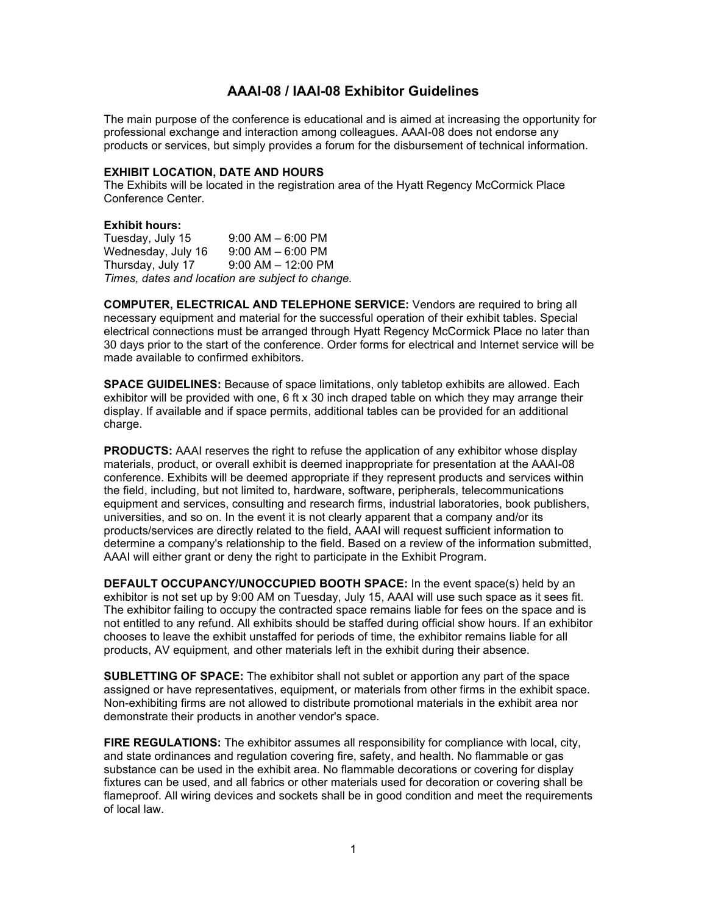## **AAAI-08 / IAAI-08 Exhibitor Guidelines**

The main purpose of the conference is educational and is aimed at increasing the opportunity for professional exchange and interaction among colleagues. AAAI-08 does not endorse any products or services, but simply provides a forum for the disbursement of technical information.

## **EXHIBIT LOCATION, DATE AND HOURS**

The Exhibits will be located in the registration area of the Hyatt Regency McCormick Place Conference Center.

## **Exhibit hours:**

Tuesday, July 15 9:00 AM – 6:00 PM Wednesday, July  $16$   $9:00$  AM  $-6:00$  PM Thursday, July 17 9:00 AM – 12:00 PM *Times, dates and location are subject to change.*

**COMPUTER, ELECTRICAL AND TELEPHONE SERVICE:** Vendors are required to bring all necessary equipment and material for the successful operation of their exhibit tables. Special electrical connections must be arranged through Hyatt Regency McCormick Place no later than 30 days prior to the start of the conference. Order forms for electrical and Internet service will be made available to confirmed exhibitors.

**SPACE GUIDELINES:** Because of space limitations, only tabletop exhibits are allowed. Each exhibitor will be provided with one, 6 ft x 30 inch draped table on which they may arrange their display. If available and if space permits, additional tables can be provided for an additional charge.

**PRODUCTS:** AAAI reserves the right to refuse the application of any exhibitor whose display materials, product, or overall exhibit is deemed inappropriate for presentation at the AAAI-08 conference. Exhibits will be deemed appropriate if they represent products and services within the field, including, but not limited to, hardware, software, peripherals, telecommunications equipment and services, consulting and research firms, industrial laboratories, book publishers, universities, and so on. In the event it is not clearly apparent that a company and/or its products/services are directly related to the field, AAAI will request sufficient information to determine a company's relationship to the field. Based on a review of the information submitted, AAAI will either grant or deny the right to participate in the Exhibit Program.

**DEFAULT OCCUPANCY/UNOCCUPIED BOOTH SPACE:** In the event space(s) held by an exhibitor is not set up by 9:00 AM on Tuesday, July 15, AAAI will use such space as it sees fit. The exhibitor failing to occupy the contracted space remains liable for fees on the space and is not entitled to any refund. All exhibits should be staffed during official show hours. If an exhibitor chooses to leave the exhibit unstaffed for periods of time, the exhibitor remains liable for all products, AV equipment, and other materials left in the exhibit during their absence.

**SUBLETTING OF SPACE:** The exhibitor shall not sublet or apportion any part of the space assigned or have representatives, equipment, or materials from other firms in the exhibit space. Non-exhibiting firms are not allowed to distribute promotional materials in the exhibit area nor demonstrate their products in another vendor's space.

**FIRE REGULATIONS:** The exhibitor assumes all responsibility for compliance with local, city, and state ordinances and regulation covering fire, safety, and health. No flammable or gas substance can be used in the exhibit area. No flammable decorations or covering for display fixtures can be used, and all fabrics or other materials used for decoration or covering shall be flameproof. All wiring devices and sockets shall be in good condition and meet the requirements of local law.